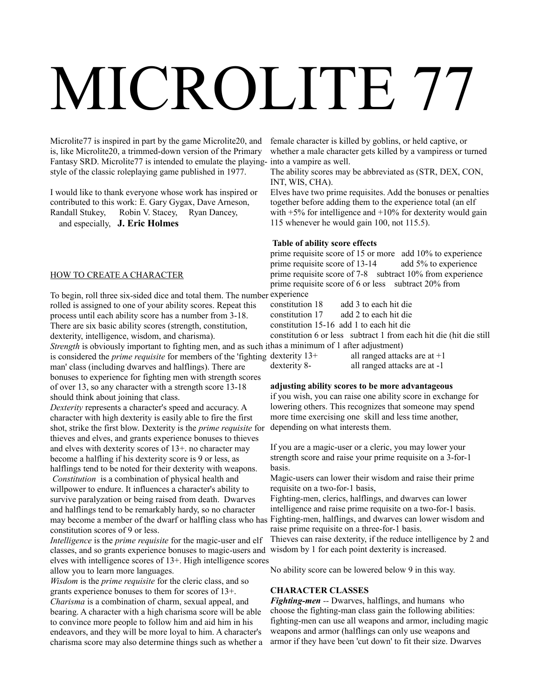Microlite77 is inspired in part by the game Microlite20, and is, like Microlite20, a trimmed-down version of the Primary Fantasy SRD. Microlite77 is intended to emulate the playing-into a vampire as well. style of the classic roleplaying game published in 1977.

I would like to thank everyone whose work has inspired or contributed to this work: E. Gary Gygax, Dave Arneson, Randall Stukey, Robin V. Stacey, Ryan Dancey, and especially, **J. Eric Holmes**

### HOW TO CREATE A CHARACTER

To begin, roll three six-sided dice and total them. The number experience rolled is assigned to one of your ability scores. Repeat this process until each ability score has a number from 3-18. There are six basic ability scores (strength, constitution, dexterity, intelligence, wisdom, and charisma). *Strength* is obviously important to fighting men, and as such it has a minimum of 1 after adjustment) is considered the *prime requisite* for members of the 'fighting dexterity 13+

man' class (including dwarves and halflings). There are bonuses to experience for fighting men with strength scores of over 13, so any character with a strength score 13-18 should think about joining that class.

*Dexterity* represents a character's speed and accuracy. A character with high dexterity is easily able to fire the first shot, strike the first blow. Dexterity is the *prime requisite* for depending on what interests them. thieves and elves, and grants experience bonuses to thieves and elves with dexterity scores of 13+. no character may become a halfling if his dexterity score is 9 or less, as halflings tend to be noted for their dexterity with weapons. *Constitution* is a combination of physical health and willpower to endure. It influences a character's ability to

survive paralyzation or being raised from death. Dwarves and halflings tend to be remarkably hardy, so no character may become a member of the dwarf or halfling class who has Fighting-men, halflings, and dwarves can lower wisdom and constitution scores of 9 or less.

*Intelligence* is the *prime requisite* for the magic-user and elf classes, and so grants experience bonuses to magic-users and wisdom by 1 for each point dexterity is increased. elves with intelligence scores of 13+. High intelligence scores allow you to learn more languages.

*Wisdom* is the *prime requisite* for the cleric class, and so grants experience bonuses to them for scores of 13+. *Charisma* is a combination of charm, sexual appeal, and bearing. A character with a high charisma score will be able to convince more people to follow him and aid him in his endeavors, and they will be more loyal to him. A character's charisma score may also determine things such as whether a

female character is killed by goblins, or held captive, or whether a male character gets killed by a vampiress or turned

The ability scores may be abbreviated as (STR, DEX, CON, INT, WIS, CHA).

Elves have two prime requisites. Add the bonuses or penalties together before adding them to the experience total (an elf with  $+5\%$  for intelligence and  $+10\%$  for dexterity would gain 115 whenever he would gain 100, not 115.5).

#### **Table of ability score effects**

prime requisite score of 15 or more add 10% to experience prime requisite score of 13-14 add 5% to experience prime requisite score of 7-8 subtract 10% from experience prime requisite score of 6 or less subtract 20% from

constitution 18 add 3 to each hit die

constitution 17 add 2 to each hit die

constitution 15-16 add 1 to each hit die

constitution 6 or less subtract 1 from each hit die (hit die still

all ranged attacks are at  $+1$ dexterity 8- all ranged attacks are at -1

### **adjusting ability scores to be more advantageous**

if you wish, you can raise one ability score in exchange for lowering others. This recognizes that someone may spend more time exercising one skill and less time another,

If you are a magic-user or a cleric, you may lower your strength score and raise your prime requisite on a 3-for-1 basis.

Magic-users can lower their wisdom and raise their prime requisite on a two-for-1 basis,

Fighting-men, clerics, halflings, and dwarves can lower intelligence and raise prime requisite on a two-for-1 basis. raise prime requisite on a three-for-1 basis.

Thieves can raise dexterity, if the reduce intelligence by 2 and

No ability score can be lowered below 9 in this way.

### **CHARACTER CLASSES**

*Fighting-men --* Dwarves, halflings, and humans who choose the fighting-man class gain the following abilities: fighting-men can use all weapons and armor, including magic weapons and armor (halflings can only use weapons and armor if they have been 'cut down' to fit their size. Dwarves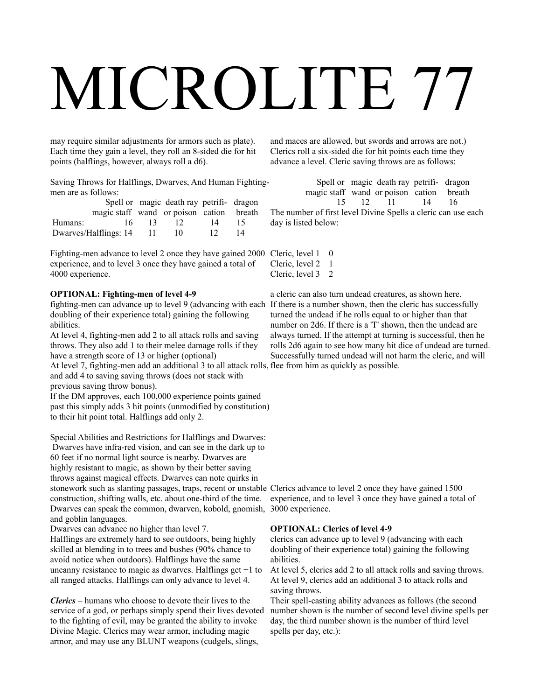may require similar adjustments for armors such as plate). Each time they gain a level, they roll an 8-sided die for hit points (halflings, however, always roll a d6).

Saving Throws for Halflings, Dwarves, And Human Fightingmen are as follows:

|         |                                          |                 | Spell or magic death ray petrifi- dragon |                 |    |
|---------|------------------------------------------|-----------------|------------------------------------------|-----------------|----|
|         | magic staff wand or poison cation breath |                 |                                          |                 |    |
| Humans: | 16.                                      | $\overline{13}$ | 12 <sup>7</sup>                          | 14              | 15 |
|         | Dwarves/Halflings: 14 11                 |                 | 10                                       | 12 <sup>7</sup> | 14 |

Fighting-men advance to level 2 once they have gained 2000 C experience, and to level 3 once they have gained a total of 4000 experience.

### **OPTIONAL: Fighting-men of level 4-9**

fighting-men can advance up to level 9 (advancing with each If there is a number shown, then the cleric has successfully doubling of their experience total) gaining the following abilities.

At level 4, fighting-men add 2 to all attack rolls and saving throws. They also add 1 to their melee damage rolls if they have a strength score of 13 or higher (optional)

At level 7, fighting-men add an additional 3 to all attack rolls, flee from him as quickly as possible. and add 4 to saving saving throws (does not stack with previous saving throw bonus).

If the DM approves, each 100,000 experience points gained past this simply adds 3 hit points (unmodified by constitution) to their hit point total. Halflings add only 2.

Special Abilities and Restrictions for Halflings and Dwarves: Dwarves have infra-red vision, and can see in the dark up to 60 feet if no normal light source is nearby. Dwarves are highly resistant to magic, as shown by their better saving throws against magical effects. Dwarves can note quirks in stonework such as slanting passages, traps, recent or unstable Clerics advance to level 2 once they have gained 1500 construction, shifting walls, etc. about one-third of the time. Dwarves can speak the common, dwarven, kobold, gnomish, 3000 experience. and goblin languages.

Dwarves can advance no higher than level 7.

Halflings are extremely hard to see outdoors, being highly skilled at blending in to trees and bushes (90% chance to avoid notice when outdoors). Halflings have the same uncanny resistance to magic as dwarves. Halflings get +1 to all ranged attacks. Halflings can only advance to level 4.

*Clerics –* humans who choose to devote their lives to the service of a god, or perhaps simply spend their lives devoted to the fighting of evil, may be granted the ability to invoke Divine Magic. Clerics may wear armor, including magic armor, and may use any BLUNT weapons (cudgels, slings,

and maces are allowed, but swords and arrows are not.) Clerics roll a six-sided die for hit points each time they advance a level. Cleric saving throws are as follows:

 Spell or magic death ray petrifi- dragon magic staff wand or poison cation breath 15 12 11 14 16

The number of first level Divine Spells a cleric can use each day is listed below:

| Cleric, level 1 | 0 |
|-----------------|---|
| Cleric, level 2 |   |
| Cleric, level 3 | 2 |

a cleric can also turn undead creatures, as shown here. turned the undead if he rolls equal to or higher than that number on 2d6. If there is a 'T' shown, then the undead are always turned. If the attempt at turning is successful, then he rolls 2d6 again to see how many hit dice of undead are turned. Successfully turned undead will not harm the cleric, and will

experience, and to level 3 once they have gained a total of

### **OPTIONAL: Clerics of level 4-9**

clerics can advance up to level 9 (advancing with each doubling of their experience total) gaining the following abilities.

At level 5, clerics add 2 to all attack rolls and saving throws. At level 9, clerics add an additional 3 to attack rolls and saving throws.

Their spell-casting ability advances as follows (the second number shown is the number of second level divine spells per day, the third number shown is the number of third level spells per day, etc.):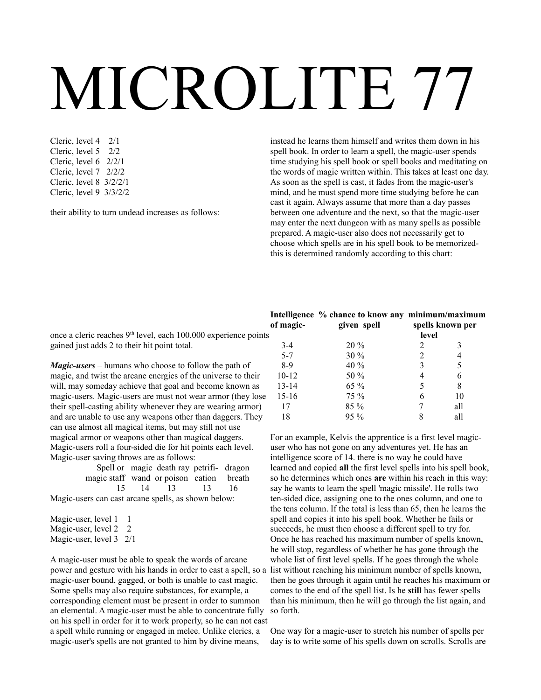Cleric, level 4 2/1 Cleric, level 5 2/2 Cleric, level 6 2/2/1 Cleric, level 7 2/2/2 Cleric, level 8 3/2/2/1 Cleric, level 9 3/3/2/2

their ability to turn undead increases as follows:

instead he learns them himself and writes them down in his spell book. In order to learn a spell, the magic-user spends time studying his spell book or spell books and meditating on the words of magic written within. This takes at least one day. As soon as the spell is cast, it fades from the magic-user's mind, and he must spend more time studying before he can cast it again. Always assume that more than a day passes between one adventure and the next, so that the magic-user may enter the next dungeon with as many spells as possible prepared. A magic-user also does not necessarily get to choose which spells are in his spell book to be memorizedthis is determined randomly according to this chart:

once a cleric reaches 9<sup>th</sup> level, each 100,000 experience points gained just adds 2 to their hit point total.

*Magic-users –* humans who choose to follow the path of magic, and twist the arcane energies of the universe to their will, may someday achieve that goal and become known as magic-users. Magic-users are must not wear armor (they lose their spell-casting ability whenever they are wearing armor) and are unable to use any weapons other than daggers. They can use almost all magical items, but may still not use magical armor or weapons other than magical daggers. Magic-users roll a four-sided die for hit points each level. Magic-user saving throws are as follows:

|                                                     |  | Spell or magic death ray petrifi- dragon |  |  |
|-----------------------------------------------------|--|------------------------------------------|--|--|
| magic staff wand or poison cation breath            |  |                                          |  |  |
|                                                     |  | 15 14 13 13 16                           |  |  |
| Magic-users can cast arcane spells, as shown below: |  |                                          |  |  |

Magic-user, level 1 1 Magic-user, level 2 2 Magic-user, level 3 2/1

A magic-user must be able to speak the words of arcane power and gesture with his hands in order to cast a spell, so a list without reaching his minimum number of spells known, magic-user bound, gagged, or both is unable to cast magic. Some spells may also require substances, for example, a corresponding element must be present in order to summon an elemental. A magic-user must be able to concentrate fully on his spell in order for it to work properly, so he can not cast a spell while running or engaged in melee. Unlike clerics, a magic-user's spells are not granted to him by divine means,

### **Intelligence % chance to know any minimum/maximum of magic- given spell spells known per**

| of magic- | given spell | spells known per |     |  |
|-----------|-------------|------------------|-----|--|
|           |             | level            |     |  |
| $3-4$     | 20%         | 2                | 3   |  |
| $5 - 7$   | 30 %        | 2                | 4   |  |
| $8-9$     | 40 %        | 3                | 5   |  |
| $10 - 12$ | 50 %        | 4                | 6   |  |
| $13 - 14$ | 65 %        | 5                | 8   |  |
| $15 - 16$ | 75 %        | 6                | 10  |  |
| 17        | 85 %        | 7                | all |  |
| 18        | 95 %        | 8                | all |  |
|           |             |                  |     |  |

For an example, Kelvis the apprentice is a first level magicuser who has not gone on any adventures yet. He has an intelligence score of 14. there is no way he could have learned and copied **all** the first level spells into his spell book, so he determines which ones **are** within his reach in this way: say he wants to learn the spell 'magic missile'. He rolls two ten-sided dice, assigning one to the ones column, and one to the tens column. If the total is less than 65, then he learns the spell and copies it into his spell book. Whether he fails or succeeds, he must then choose a different spell to try for. Once he has reached his maximum number of spells known, he will stop, regardless of whether he has gone through the whole list of first level spells. If he goes through the whole then he goes through it again until he reaches his maximum or comes to the end of the spell list. Is he **still** has fewer spells than his minimum, then he will go through the list again, and so forth.

One way for a magic-user to stretch his number of spells per day is to write some of his spells down on scrolls. Scrolls are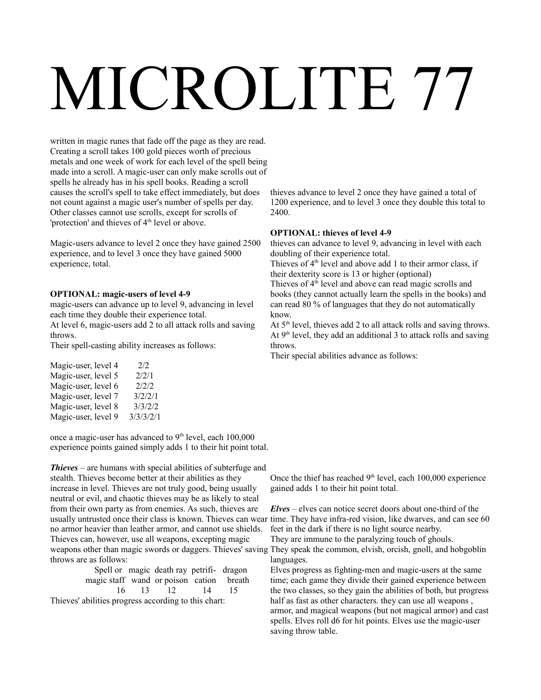written in magic runes that fade off the page as they are read. Creating a scroll takes 100 gold pieces worth of precious metals and one week of work for each level of the spell being made into a scroll. A magic-user can only make scrolls out of spells he already has in his spell books. Reading a scroll causes the scroll's spell to take effect immediately, but does not count against a magic user's number of spells per day. Other classes cannot use scrolls, except for scrolls of 'protection' and thieves of 4<sup>th</sup> level or above.

Magic-users advance to level 2 once they have gained 2500 experience, and to level 3 once they have gained 5000 experience, total.

### **OPTIONAL: magic-users of level 4-9**

magic-users can advance up to level 9, advancing in level each time they double their experience total.

At level 6, magic-users add 2 to all attack rolls and saving throws.

Their spell-casting ability increases as follows:

| 3/2/2/1   |
|-----------|
| 3/3/2/2   |
| 3/3/3/2/1 |
|           |

once a magic-user has advanced to  $9<sup>th</sup>$  level, each  $100,000$ experience points gained simply adds 1 to their hit point total.

*Thieves –* are humans with special abilities of subterfuge and stealth. Thieves become better at their abilities as they increase in level. Thieves are not truly good, being usually neutral or evil, and chaotic thieves may be as likely to steal from their own party as from enemies. As such, thieves are usually untrusted once their class is known. Thieves can wear time. They have infra-red vision, like dwarves, and can see 60 no armor heavier than leather armor, and cannot use shields. Thieves can, however, use all weapons, excepting magic weapons other than magic swords or daggers. Thieves' saving They speak the common, elvish, orcish, gnoll, and hobgoblin throws are as follows:

|                                                         | Spell or magic death ray petrifi- dragon |  |
|---------------------------------------------------------|------------------------------------------|--|
| magic staff wand or poison cation breath                |                                          |  |
|                                                         | 16 13 12 14 15                           |  |
| This cool shifting and current consuling to this shout. |                                          |  |

Thieves' abilities progress according to this chart:

thieves advance to level 2 once they have gained a total of 1200 experience, and to level 3 once they double this total to 2400.

### **OPTIONAL: thieves of level 4-9**

thieves can advance to level 9, advancing in level with each doubling of their experience total.

Thieves of  $4<sup>th</sup>$  level and above add 1 to their armor class, if their dexterity score is 13 or higher (optional)

Thieves of  $4<sup>th</sup>$  level and above can read magic scrolls and books (they cannot actually learn the spells in the books) and can read 80 % of languages that they do not automatically know.

At  $5<sup>th</sup>$  level, thieves add 2 to all attack rolls and saving throws. At  $9<sup>th</sup>$  level, they add an additional 3 to attack rolls and saving throws.

Their special abilities advance as follows:

Once the thief has reached  $9<sup>th</sup>$  level, each 100,000 experience gained adds 1 to their hit point total.

*Elves* – elves can notice secret doors about one-third of the feet in the dark if there is no light source nearby.

They are immune to the paralyzing touch of ghouls. languages.

Elves progress as fighting-men and magic-users at the same time; each game they divide their gained experience between the two classes, so they gain the abilities of both, but progress half as fast as other characters. they can use all weapons, armor, and magical weapons (but not magical armor) and cast spells. Elves roll d6 for hit points. Elves use the magic-user saving throw table.